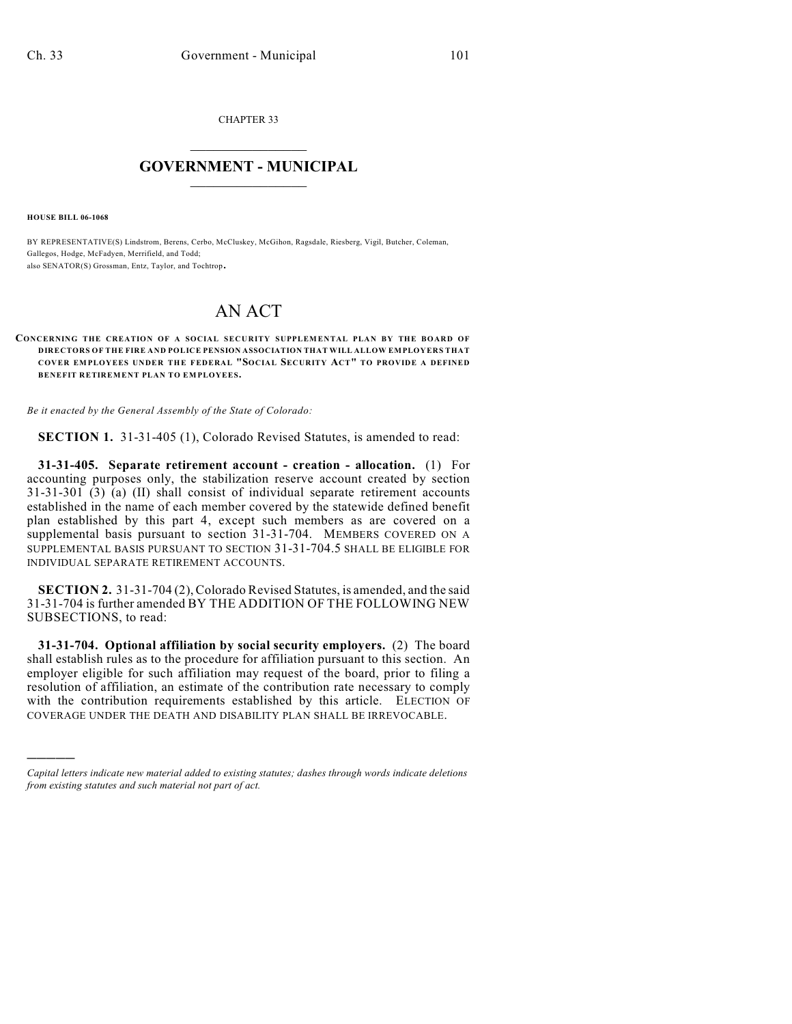CHAPTER 33  $\mathcal{L}_\text{max}$  . The set of the set of the set of the set of the set of the set of the set of the set of the set of the set of the set of the set of the set of the set of the set of the set of the set of the set of the set

## **GOVERNMENT - MUNICIPAL**  $\_$

**HOUSE BILL 06-1068**

)))))

BY REPRESENTATIVE(S) Lindstrom, Berens, Cerbo, McCluskey, McGihon, Ragsdale, Riesberg, Vigil, Butcher, Coleman, Gallegos, Hodge, McFadyen, Merrifield, and Todd; also SENATOR(S) Grossman, Entz, Taylor, and Tochtrop.

## AN ACT

## **CONCERNING THE CREATION OF A SOCIAL SECURITY SUPPLEMENTAL PLAN BY THE BOARD OF DIRECTORS OF THE FIRE AND POLICE PENSION ASSOCIATION THAT WILL ALLOW EMPLOYERS THAT COVER EMPLOYEES UNDER THE FEDERAL "SOCIAL SECURITY ACT" TO PROVIDE A DEFINED BENEFIT RETIREMENT PLAN TO EMPLOYEES.**

*Be it enacted by the General Assembly of the State of Colorado:*

**SECTION 1.** 31-31-405 (1), Colorado Revised Statutes, is amended to read:

**31-31-405. Separate retirement account - creation - allocation.** (1) For accounting purposes only, the stabilization reserve account created by section 31-31-301 (3) (a) (II) shall consist of individual separate retirement accounts established in the name of each member covered by the statewide defined benefit plan established by this part 4, except such members as are covered on a supplemental basis pursuant to section 31-31-704. MEMBERS COVERED ON A SUPPLEMENTAL BASIS PURSUANT TO SECTION 31-31-704.5 SHALL BE ELIGIBLE FOR INDIVIDUAL SEPARATE RETIREMENT ACCOUNTS.

**SECTION 2.** 31-31-704 (2), Colorado Revised Statutes, is amended, and the said 31-31-704 is further amended BY THE ADDITION OF THE FOLLOWING NEW SUBSECTIONS, to read:

**31-31-704. Optional affiliation by social security employers.** (2) The board shall establish rules as to the procedure for affiliation pursuant to this section. An employer eligible for such affiliation may request of the board, prior to filing a resolution of affiliation, an estimate of the contribution rate necessary to comply with the contribution requirements established by this article. ELECTION OF COVERAGE UNDER THE DEATH AND DISABILITY PLAN SHALL BE IRREVOCABLE.

*Capital letters indicate new material added to existing statutes; dashes through words indicate deletions from existing statutes and such material not part of act.*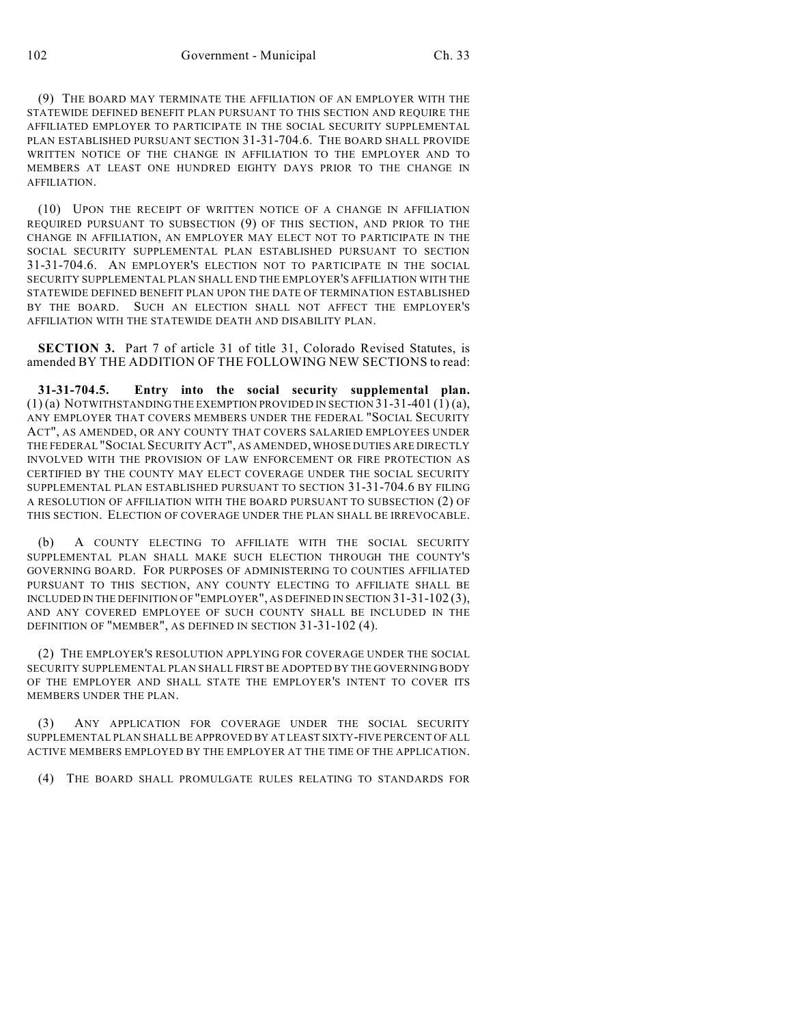(9) THE BOARD MAY TERMINATE THE AFFILIATION OF AN EMPLOYER WITH THE STATEWIDE DEFINED BENEFIT PLAN PURSUANT TO THIS SECTION AND REQUIRE THE AFFILIATED EMPLOYER TO PARTICIPATE IN THE SOCIAL SECURITY SUPPLEMENTAL PLAN ESTABLISHED PURSUANT SECTION 31-31-704.6. THE BOARD SHALL PROVIDE WRITTEN NOTICE OF THE CHANGE IN AFFILIATION TO THE EMPLOYER AND TO MEMBERS AT LEAST ONE HUNDRED EIGHTY DAYS PRIOR TO THE CHANGE IN AFFILIATION.

(10) UPON THE RECEIPT OF WRITTEN NOTICE OF A CHANGE IN AFFILIATION REQUIRED PURSUANT TO SUBSECTION (9) OF THIS SECTION, AND PRIOR TO THE CHANGE IN AFFILIATION, AN EMPLOYER MAY ELECT NOT TO PARTICIPATE IN THE SOCIAL SECURITY SUPPLEMENTAL PLAN ESTABLISHED PURSUANT TO SECTION 31-31-704.6. AN EMPLOYER'S ELECTION NOT TO PARTICIPATE IN THE SOCIAL SECURITY SUPPLEMENTAL PLAN SHALL END THE EMPLOYER'S AFFILIATION WITH THE STATEWIDE DEFINED BENEFIT PLAN UPON THE DATE OF TERMINATION ESTABLISHED BY THE BOARD. SUCH AN ELECTION SHALL NOT AFFECT THE EMPLOYER'S AFFILIATION WITH THE STATEWIDE DEATH AND DISABILITY PLAN.

**SECTION 3.** Part 7 of article 31 of title 31, Colorado Revised Statutes, is amended BY THE ADDITION OF THE FOLLOWING NEW SECTIONS to read:

**31-31-704.5. Entry into the social security supplemental plan.**  $(1)$  (a) NOTWITHSTANDING THE EXEMPTION PROVIDED IN SECTION 31-31-401 (1) (a), ANY EMPLOYER THAT COVERS MEMBERS UNDER THE FEDERAL "SOCIAL SECURITY ACT", AS AMENDED, OR ANY COUNTY THAT COVERS SALARIED EMPLOYEES UNDER THE FEDERAL "SOCIAL SECURITY ACT", AS AMENDED, WHOSE DUTIES ARE DIRECTLY INVOLVED WITH THE PROVISION OF LAW ENFORCEMENT OR FIRE PROTECTION AS CERTIFIED BY THE COUNTY MAY ELECT COVERAGE UNDER THE SOCIAL SECURITY SUPPLEMENTAL PLAN ESTABLISHED PURSUANT TO SECTION 31-31-704.6 BY FILING A RESOLUTION OF AFFILIATION WITH THE BOARD PURSUANT TO SUBSECTION (2) OF THIS SECTION. ELECTION OF COVERAGE UNDER THE PLAN SHALL BE IRREVOCABLE.

(b) A COUNTY ELECTING TO AFFILIATE WITH THE SOCIAL SECURITY SUPPLEMENTAL PLAN SHALL MAKE SUCH ELECTION THROUGH THE COUNTY'S GOVERNING BOARD. FOR PURPOSES OF ADMINISTERING TO COUNTIES AFFILIATED PURSUANT TO THIS SECTION, ANY COUNTY ELECTING TO AFFILIATE SHALL BE INCLUDED IN THE DEFINITION OF "EMPLOYER", AS DEFINED IN SECTION 31-31-102 (3), AND ANY COVERED EMPLOYEE OF SUCH COUNTY SHALL BE INCLUDED IN THE DEFINITION OF "MEMBER", AS DEFINED IN SECTION 31-31-102 (4).

(2) THE EMPLOYER'S RESOLUTION APPLYING FOR COVERAGE UNDER THE SOCIAL SECURITY SUPPLEMENTAL PLAN SHALL FIRST BE ADOPTED BY THE GOVERNING BODY OF THE EMPLOYER AND SHALL STATE THE EMPLOYER'S INTENT TO COVER ITS MEMBERS UNDER THE PLAN.

(3) ANY APPLICATION FOR COVERAGE UNDER THE SOCIAL SECURITY SUPPLEMENTAL PLAN SHALL BE APPROVED BY AT LEAST SIXTY-FIVE PERCENT OF ALL ACTIVE MEMBERS EMPLOYED BY THE EMPLOYER AT THE TIME OF THE APPLICATION.

(4) THE BOARD SHALL PROMULGATE RULES RELATING TO STANDARDS FOR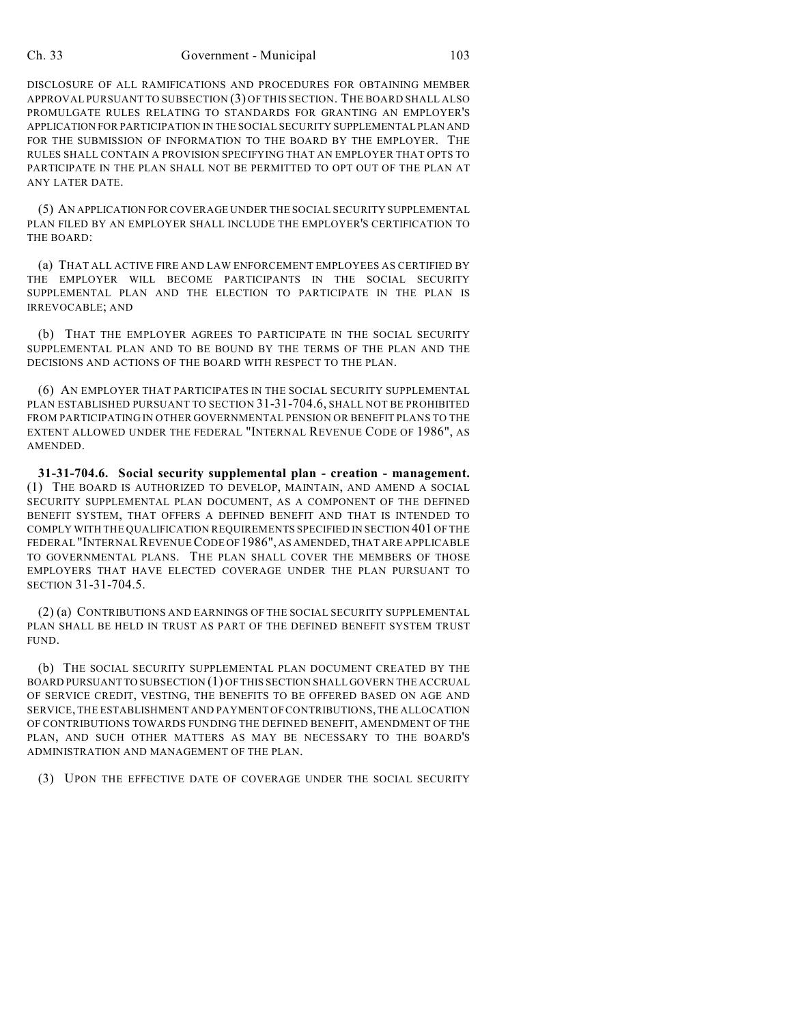## Ch. 33 Government - Municipal 103

DISCLOSURE OF ALL RAMIFICATIONS AND PROCEDURES FOR OBTAINING MEMBER APPROVAL PURSUANT TO SUBSECTION (3) OF THIS SECTION. THE BOARD SHALL ALSO PROMULGATE RULES RELATING TO STANDARDS FOR GRANTING AN EMPLOYER'S APPLICATION FOR PARTICIPATION IN THE SOCIAL SECURITY SUPPLEMENTAL PLAN AND FOR THE SUBMISSION OF INFORMATION TO THE BOARD BY THE EMPLOYER. THE RULES SHALL CONTAIN A PROVISION SPECIFYING THAT AN EMPLOYER THAT OPTS TO PARTICIPATE IN THE PLAN SHALL NOT BE PERMITTED TO OPT OUT OF THE PLAN AT ANY LATER DATE.

(5) AN APPLICATION FOR COVERAGE UNDER THE SOCIAL SECURITY SUPPLEMENTAL PLAN FILED BY AN EMPLOYER SHALL INCLUDE THE EMPLOYER'S CERTIFICATION TO THE BOARD:

(a) THAT ALL ACTIVE FIRE AND LAW ENFORCEMENT EMPLOYEES AS CERTIFIED BY THE EMPLOYER WILL BECOME PARTICIPANTS IN THE SOCIAL SECURITY SUPPLEMENTAL PLAN AND THE ELECTION TO PARTICIPATE IN THE PLAN IS IRREVOCABLE; AND

(b) THAT THE EMPLOYER AGREES TO PARTICIPATE IN THE SOCIAL SECURITY SUPPLEMENTAL PLAN AND TO BE BOUND BY THE TERMS OF THE PLAN AND THE DECISIONS AND ACTIONS OF THE BOARD WITH RESPECT TO THE PLAN.

(6) AN EMPLOYER THAT PARTICIPATES IN THE SOCIAL SECURITY SUPPLEMENTAL PLAN ESTABLISHED PURSUANT TO SECTION 31-31-704.6, SHALL NOT BE PROHIBITED FROM PARTICIPATING IN OTHER GOVERNMENTAL PENSION OR BENEFIT PLANS TO THE EXTENT ALLOWED UNDER THE FEDERAL "INTERNAL REVENUE CODE OF 1986", AS AMENDED.

**31-31-704.6. Social security supplemental plan - creation - management.** (1) THE BOARD IS AUTHORIZED TO DEVELOP, MAINTAIN, AND AMEND A SOCIAL SECURITY SUPPLEMENTAL PLAN DOCUMENT, AS A COMPONENT OF THE DEFINED BENEFIT SYSTEM, THAT OFFERS A DEFINED BENEFIT AND THAT IS INTENDED TO COMPLY WITH THE QUALIFICATION REQUIREMENTS SPECIFIED IN SECTION 401 OF THE FEDERAL "INTERNAL REVENUE CODE OF 1986", AS AMENDED, THAT ARE APPLICABLE TO GOVERNMENTAL PLANS. THE PLAN SHALL COVER THE MEMBERS OF THOSE EMPLOYERS THAT HAVE ELECTED COVERAGE UNDER THE PLAN PURSUANT TO SECTION 31-31-704.5.

(2) (a) CONTRIBUTIONS AND EARNINGS OF THE SOCIAL SECURITY SUPPLEMENTAL PLAN SHALL BE HELD IN TRUST AS PART OF THE DEFINED BENEFIT SYSTEM TRUST FUND.

(b) THE SOCIAL SECURITY SUPPLEMENTAL PLAN DOCUMENT CREATED BY THE BOARD PURSUANT TO SUBSECTION (1) OF THIS SECTION SHALL GOVERN THE ACCRUAL OF SERVICE CREDIT, VESTING, THE BENEFITS TO BE OFFERED BASED ON AGE AND SERVICE, THE ESTABLISHMENT AND PAYMENT OF CONTRIBUTIONS, THE ALLOCATION OF CONTRIBUTIONS TOWARDS FUNDING THE DEFINED BENEFIT, AMENDMENT OF THE PLAN, AND SUCH OTHER MATTERS AS MAY BE NECESSARY TO THE BOARD'S ADMINISTRATION AND MANAGEMENT OF THE PLAN.

(3) UPON THE EFFECTIVE DATE OF COVERAGE UNDER THE SOCIAL SECURITY